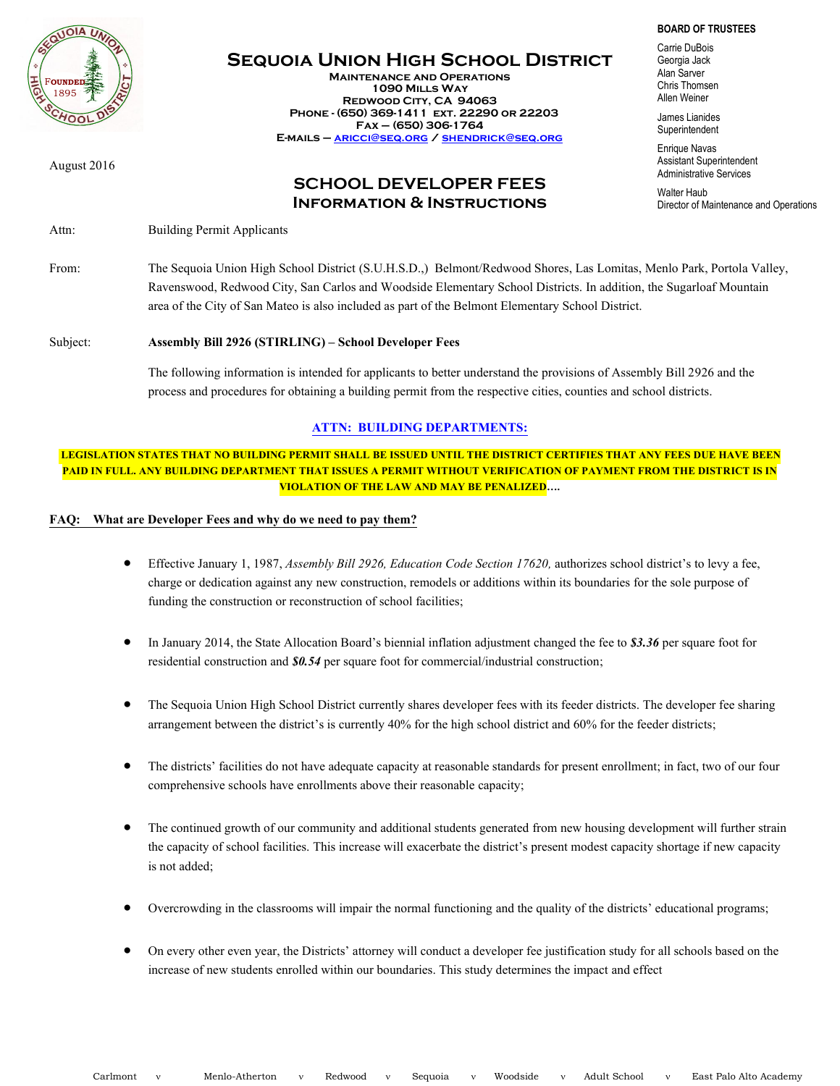

# **Sequoia Union High School District**

**Maintenance and Operations 1090 Mills Way Redwood City, CA 94063 Phone - (650) 369-1411 ext. 22290 or 22203 Fax – (650) 306-1764 E-mails – [aricci@seq.org](mailto:aricci@seq.org) [/ shendrick@seq.org](mailto:shendrick@seq.org)**

August 2016

## **SCHOOL DEVELOPER FEES Information & Instructions**

Attn: Building Permit Applicants

**BOARD OF TRUSTEES**

Carrie DuBois Georgia Jack Alan Sarver Chris Thomsen Allen Weiner

James Lianides **Superintendent** 

Enrique Navas Assistant Superintendent Administrative Services

Walter Haub Director of Maintenance and Operations

From: The Sequoia Union High School District (S.U.H.S.D.,) Belmont/Redwood Shores, Las Lomitas, Menlo Park, Portola Valley, Ravenswood, Redwood City, San Carlos and Woodside Elementary School Districts. In addition, the Sugarloaf Mountain area of the City of San Mateo is also included as part of the Belmont Elementary School District.

### Subject: **Assembly Bill2926 (STIRLING) – School Developer Fees**

The following information is intended for applicants to better understand the provisions of Assembly Bill 2926 and the process and procedures for obtaining a building permit from the respective cities, counties and school districts.

### **ATTN: BUILDING DEPARTMENTS:**

**LEGISLATION STATES THAT NO BUILDING PERMIT SHALL BE ISSUED UNTIL THE DISTRICT CERTIFIES THAT ANY FEES DUE HAVE BEEN PAID IN FULL. ANY BUILDING DEPARTMENT THAT ISSUES A PERMIT WITHOUT VERIFICATION OF PAYMENT FROM THE DISTRICT IS IN VIOLATION OF THE LAW AND MAY BE PENALIZED….** 

### **FAQ: What are Developer Feesand why do we need to pay them?**

- Effective January 1, 1987, *Assembly Bill 2926, Education Code Section 17620,* authorizes schooldistrict's to levy a fee, charge or dedication against any new construction, remodels or additions within its boundaries for the solepurpose of funding the construction or reconstruction of school facilities;
- In January 2014, the State Allocation Board's biennial inflation adjustment changed the fee to *\$3.36* per square foot for residential construction and *\$0.54* per square foot for commercial/industrial construction;
- The Sequoia Union High School District currently shares developer fees with its feeder districts. The developer fee sharing arrangement between the district's is currently 40% for the high school district and 60% for the feeder districts;
- The districts' facilities do not have adequate capacity at reasonable standards for present enrollment; in fact, two of our four comprehensive schools have enrollments above their reasonable capacity;
- The continued growth of our community and additional students generated from new housing development will further strain the capacity of school facilities. This increase will exacerbate the district's present modest capacity shortage if new capacity is not added;
- Overcrowding in the classrooms will impair the normal functioning and the quality of the districts' educational programs;
- On every other even year, the Districts' attorney will conduct a developer fee justification study for all schools based on the increase of new students enrolled within our boundaries. This study determines the impact and effect

Carlmont v Menlo-Atherton v Redwood v Sequoia v Woodside v Adult School v East Palo Alto Academy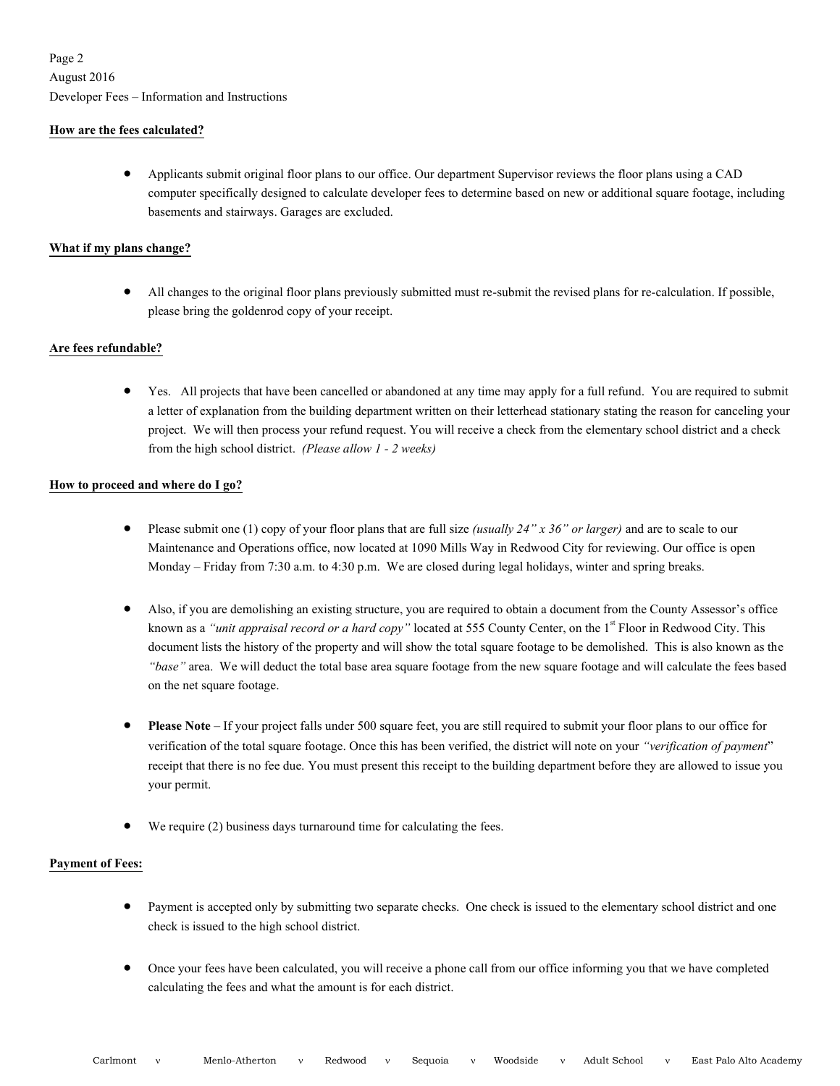### **How are the fees calculated?**

 Applicants submit original floor plans to our office. Our department Supervisor reviews the floor plans using a CAD computer specifically designed to calculate developer fees to determine based on new or additional square footage, including basements and stairways. Garages are excluded.

### **What if my plans change?**

 All changes to the original floor plans previously submitted must re-submit the revised plans for re-calculation. If possible, please bring the goldenrod copy of your receipt.

### **Are fees refundable?**

 Yes. All projects that have been cancelled or abandoned at any time may apply for a full refund. You are required to submit a letter of explanation from the building department written on their letterhead stationary stating the reason for canceling your project. We will then process your refund request. You will receive a check from the elementary school district and a check from the high school district. *(Please allow 1 -2 weeks)*

### **How to proceed and where do I go?**

- Please submit one (1) copy of your floor plans that are full size *(usually 24" x 36" or larger)* and are to scale to our Maintenance and Operations office, now located at 1090 Mills Way in Redwood City for reviewing. Our office is open Monday – Friday from 7:30 a.m. to 4:30 p.m.We are closed during legal holidays, winter and spring breaks.
- Also, if you are demolishing an existing structure, you are required to obtain a document from the County Assessor's office known as a *"unit appraisal record or a hard copy"* located at 555 County Center, on the 1<sup>st</sup> Floor in Redwood City. This document lists the history of the property and will show the total square footage to be demolished. This is also known as the *"base"* area. We will deduct the total base area square footage from the new square footage and will calculate the fees based on the net square footage.
- **Please Note**–If your project falls under 500 square feet, you are still required to submit your floor plans to our office for verification of the total square footage. Once this has been verified, the district will note on your *"verification of payment*" receipt that there is no fee due. You must present this receipt to the building department before they are allowed to issue you your permit.
- We require (2) business days turnaround time for calculating the fees.

### **Payment of Fees:**

- Payment is accepted only by submitting two separate checks. One check is issued to the elementary school district and one check is issued to the high school district.
- Once your fees have been calculated, you will receive a phone call from our office informing you that we have completed calculating the fees and what the amount is for each district.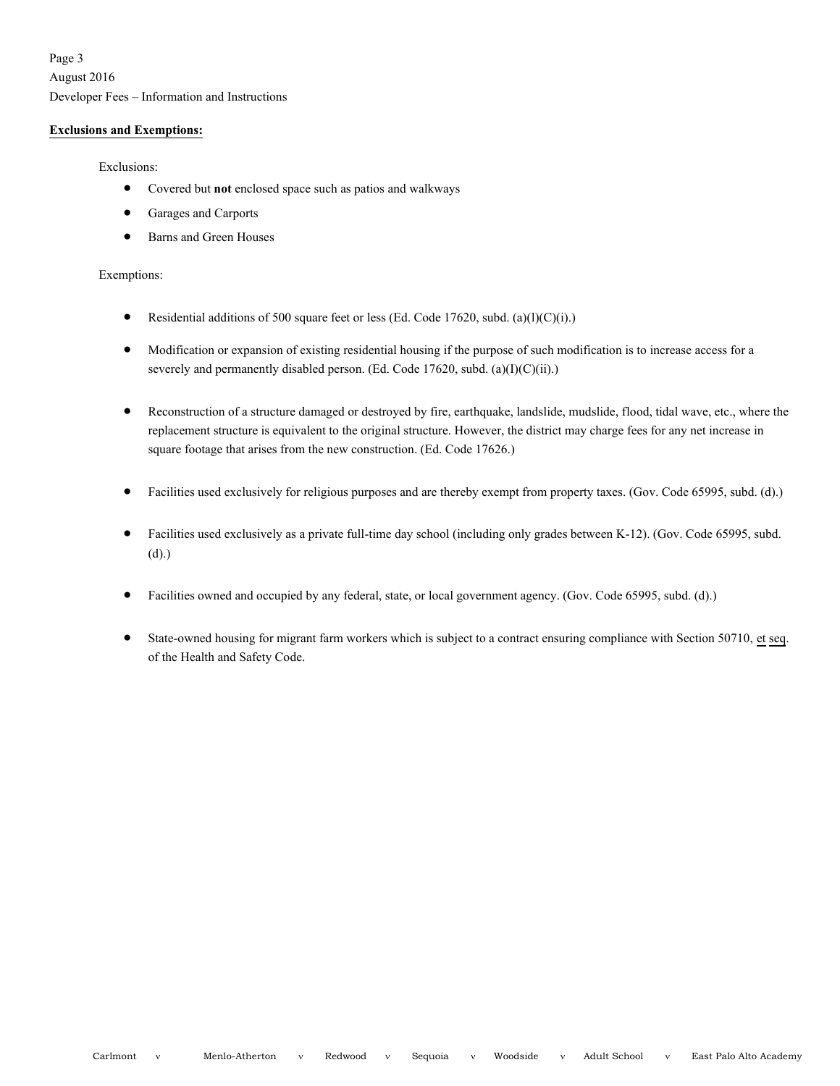Page 3 August 2016 Developer Fees – Information and Instructions

#### **Exclusionsand Exemptions:**

Exclusions:

- Covered but **not** enclosed space such as patios and walkways
- Garages and Carports
- Barns and Green Houses

### Exemptions:

- Residential additions of 500 square feet or less (Ed. Code 17620, subd. (a)(l)(C)(i).)
- Modification or expansion of existing residential housing if the purpose of such modification is to increase access for a severely and permanently disabled person. (Ed. Code 17620, subd. (a)(I)(C)(ii).)
- Reconstruction of a structure damaged or destroyed by fire, earthquake, landslide, mudslide, flood, tidal wave, etc., where the replacement structure is equivalent to the original structure. However, the district may charge fees for any net increase in square footage that arises from the new construction. (Ed. Code 17626.)
- Facilities used exclusively for religious purposes and are thereby exempt from property taxes. (Gov. Code 65995, subd. (d).)
- Facilities used exclusively as a private full-time day school (including only grades between K-12). (Gov. Code 65995, subd. (d).)
- Facilities owned and occupied by any federal, state, or local government agency. (Gov. Code 65995, subd. (d).)
- State-owned housing for migrant farm workers which is subject to a contract ensuring compliance with Section 50710, et seq. of the Health and Safety Code.